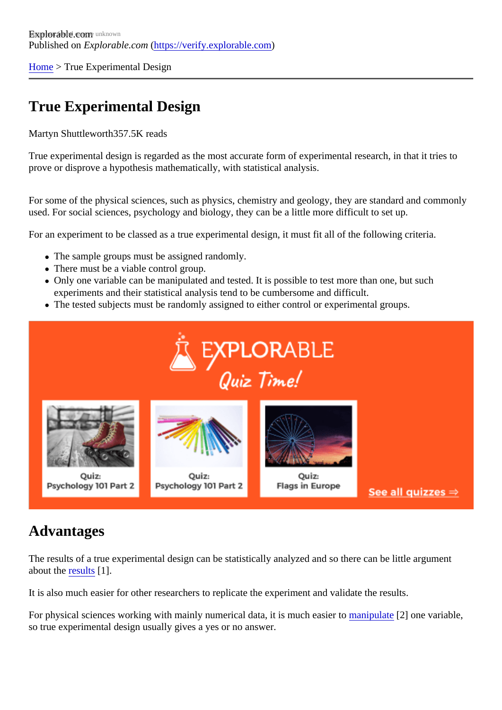[Home](https://verify.explorable.com/) > True Experimental Design

# True Experimental Design

#### Martyn Shuttlewort<sup>857.5K</sup> reads

True experimental design is regarded as the most accurate form of experimental research, in that it tries to prove or disprove a hypothesis mathematically, with statistical analysis.

For some of the physical sciences, such as physics, chemistry and geology, they are standard and commo used. For social sciences, psychology and biology, they can be a little more difficult to set up.

For an experiment to be classed as a true experimental design, it must fit all of the following criteria.

- The sample groups must be assigned randomly.
- There must be a viable control group.
- Only one variable can be manipulated and tested. It is possible to test more than one, but such experiments and their statistical analysis tend to be cumbersome and difficult.
- The tested subjects must be randomly assigned to either control or experimental groups.

# Advantages

The results of a true experimental design can be statistically analyzed and so there can be little argument about th[e results](https://verify.explorable.com/statistically-significant-results)[1].

It is also much easier for other researchers to replicate the experiment and validate the results.

For physical sciences working with mainly numerical data, it is much easientipulate<sup>[2]</sup> one variable, so true experimental design usually gives a yes or no answer.